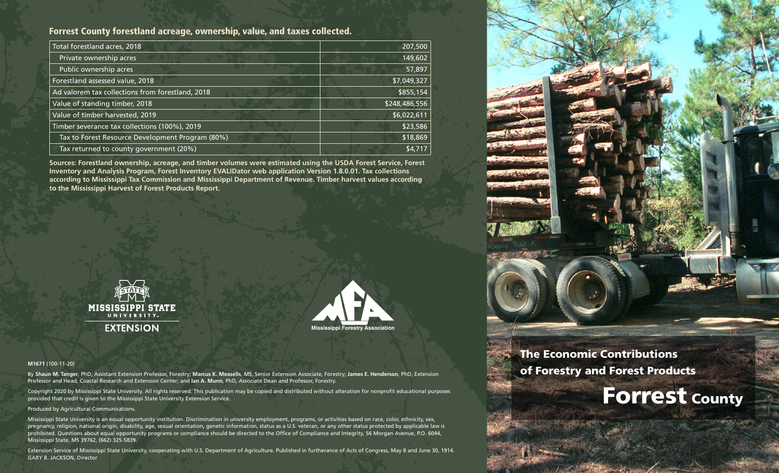## Forrest County forestland acreage, ownership, value, and taxes collected.

| Total forestland acres, 2018                     | 207,500       |
|--------------------------------------------------|---------------|
| Private ownership acres                          | 149,602       |
| Public ownership acres                           | 57,897        |
| Forestland assessed value, 2018                  | \$7,049,327   |
| Ad valorem tax collections from forestland, 2018 | \$855,154     |
| Value of standing timber, 2018                   | \$248,486,556 |
| Value of timber harvested, 2019                  | \$6,022,611   |
| Timber severance tax collections (100%), 2019    | \$23,586      |
| Tax to Forest Resource Development Program (80%) | \$18,869      |
| Tax returned to county government (20%)          | \$4,717       |

**Sources: Forestland ownership, acreage, and timber volumes were estimated using the USDA Forest Service, Forest Inventory and Analysis Program, Forest Inventory EVALIDator web application Version 1.8.0.01. Tax collections according to Mississippi Tax Commission and Mississippi Department of Revenue. Timber harvest values according to the Mississippi Harvest of Forest Products Report.**





#### **M1671** (100-11-20)

By **Shaun M. Tanger**, PhD, Assistant Extension Professor, Forestry; **Marcus K. Measells**, MS, Senior Extension Associate, Forestry; **James E. Henderson**, PhD, Extension Professor and Head, Coastal Research and Extension Center; and **Ian A. Munn**, PhD, Associate Dean and Professor, Forestry.

Copyright 2020 by Mississippi State University. All rights reserved. This publication may be copied and distributed without alteration for nonprofit educational purposes provided that credit is given to the Mississippi State University Extension Service.

#### Produced by Agricultural Communications.

Mississippi State University is an equal opportunity institution. Discrimination in university employment, programs, or activities based on race, color, ethnicity, sex, pregnancy, religion, national origin, disability, age, sexual orientation, genetic information, status as a U.S. veteran, or any other status protected by applicable law is prohibited. Questions about equal opportunity programs or compliance should be directed to the Office of Compliance and Integrity, 56 Morgan Avenue, P.O. 6044, Mississippi State, MS 39762, (662) 325-5839.

Extension Service of Mississippi State University, cooperating with U.S. Department of Agriculture. Published in furtherance of Acts of Congress, May 8 and June 30, 1914. GARY B. JACKSON, Director



# The Economic Contributions of Forestry and Forest Products

# **Forrest County**